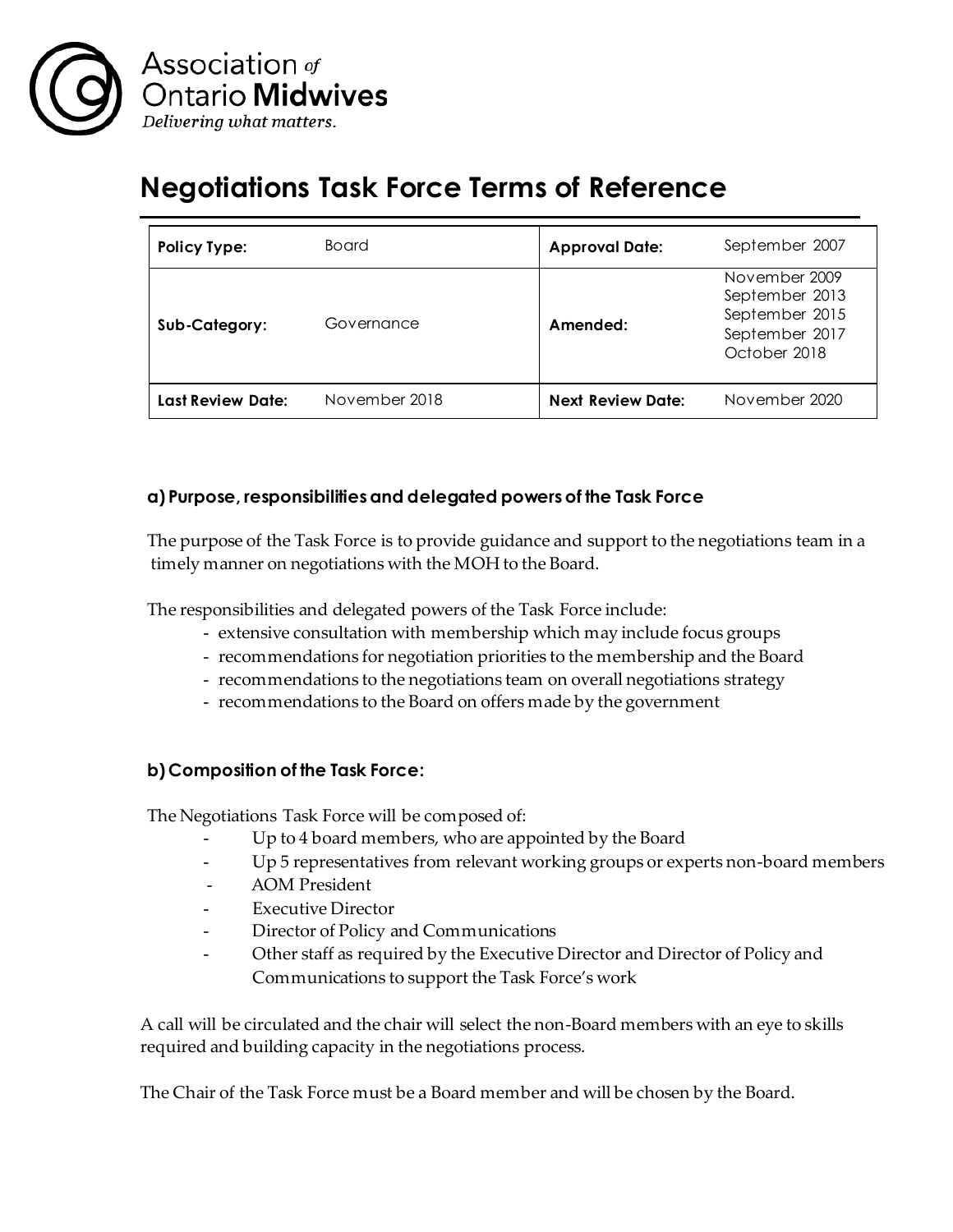

# **Negotiations Task Force Terms of Reference**

| <b>Policy Type:</b>      | Board         | <b>Approval Date:</b>    | September 2007                                                                      |
|--------------------------|---------------|--------------------------|-------------------------------------------------------------------------------------|
| Sub-Category:            | Governance    | Amended:                 | November 2009<br>September 2013<br>September 2015<br>September 2017<br>October 2018 |
| <b>Last Review Date:</b> | November 2018 | <b>Next Review Date:</b> | November 2020                                                                       |

## **a) Purpose, responsibilities and delegated powers of the Task Force**

The purpose of the Task Force is to provide guidance and support to the negotiations team in a timely manner on negotiations with the MOH to the Board.

The responsibilities and delegated powers of the Task Force include:

- extensive consultation with membership which may include focus groups
- recommendations for negotiation priorities to the membership and the Board
- recommendations to the negotiations team on overall negotiations strategy
- recommendations to the Board on offers made by the government

## **b)Composition of the Task Force:**

The Negotiations Task Force will be composed of:

- Up to 4 board members, who are appointed by the Board
- Up 5 representatives from relevant working groups or experts non-board members
- AOM President
- Executive Director
- Director of Policy and Communications
- Other staff as required by the Executive Director and Director of Policy and Communications to support the Task Force's work

A call will be circulated and the chair will select the non-Board members with an eye to skills required and building capacity in the negotiations process.

The Chair of the Task Force must be a Board member and will be chosen by the Board.